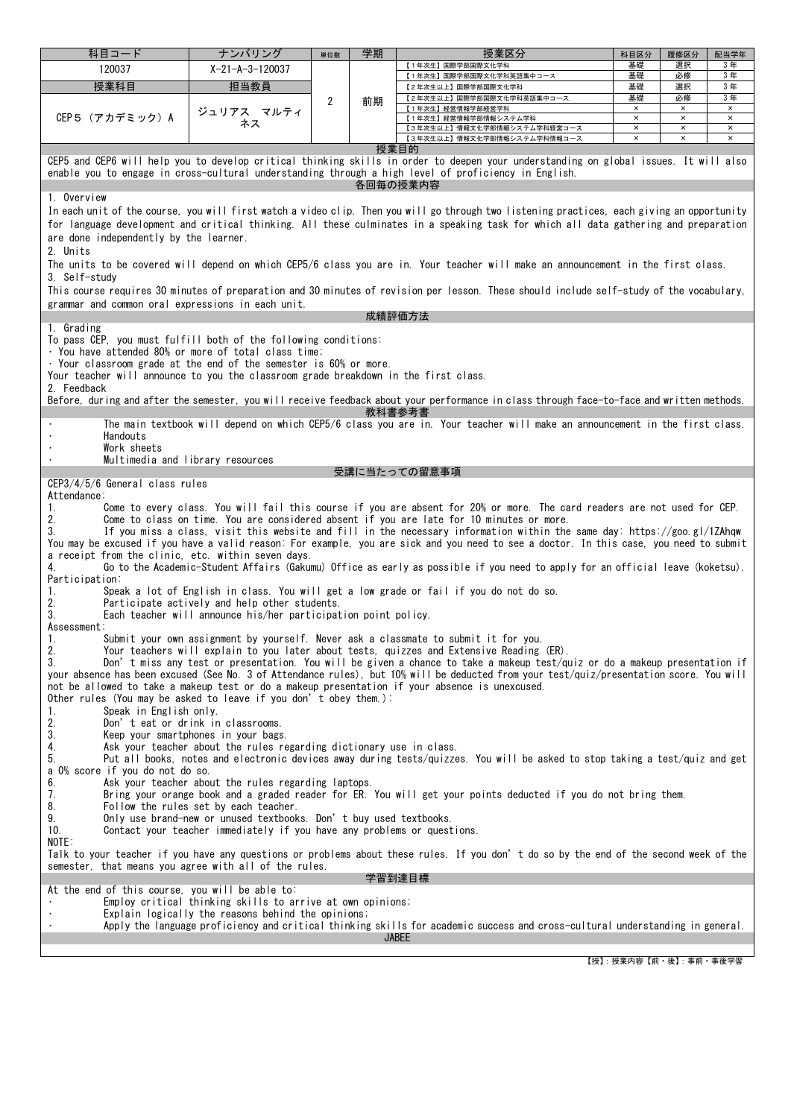| 科目コード                                                                                                                                                                                                                                        | ナンバリング                                                              | 単位数 | 学期 | 授業区分                                                                                                                                                                                                                                                                  | 科目区分          | 履修区分                       | 配当学年                       |  |  |
|----------------------------------------------------------------------------------------------------------------------------------------------------------------------------------------------------------------------------------------------|---------------------------------------------------------------------|-----|----|-----------------------------------------------------------------------------------------------------------------------------------------------------------------------------------------------------------------------------------------------------------------------|---------------|----------------------------|----------------------------|--|--|
| 120037                                                                                                                                                                                                                                       | $X-21-A-3-120037$                                                   |     |    | 【1年次生】国際学部国際文化学科                                                                                                                                                                                                                                                      | 基礎            | 選択                         | 3年                         |  |  |
|                                                                                                                                                                                                                                              |                                                                     |     |    | 【1年次生】国際学部国際文化学科英語集中コース                                                                                                                                                                                                                                               | 基礎<br>基礎      | 必修<br>選択                   | 3年<br>3年                   |  |  |
| 授業科目                                                                                                                                                                                                                                         | 担当教員                                                                |     |    | 【2年次生以上】国際学部国際文化学科<br>【2年次生以上】国際学部国際文化学科英語集中コース                                                                                                                                                                                                                       | 基礎            | 必修                         | 3年                         |  |  |
|                                                                                                                                                                                                                                              | ジュリアス マルティ                                                          | 2   | 前期 | 【1年次生】経営情報学部経営学科                                                                                                                                                                                                                                                      | $\times$      | $\times$                   | $\times$                   |  |  |
| CEP5 (アカデミック) A                                                                                                                                                                                                                              | ネス                                                                  |     |    | 【1年次生】経営情報学部情報システム学科<br>【3年次生以上】情報文化学部情報システム学科経営コース                                                                                                                                                                                                                   | $\times$<br>× | $\times$<br>$\pmb{\times}$ | $\pmb{\times}$<br>$\times$ |  |  |
|                                                                                                                                                                                                                                              |                                                                     |     |    | 【3年次生以上】情報文化学部情報システム学科情報コース                                                                                                                                                                                                                                           | $\times$      | $\times$                   | $\times$                   |  |  |
| 授業目的                                                                                                                                                                                                                                         |                                                                     |     |    |                                                                                                                                                                                                                                                                       |               |                            |                            |  |  |
| CEP5 and CEP6 will help you to develop critical thinking skills in order to deepen your understanding on global issues. It will also<br>enable you to engage in cross-cultural understanding through a high level of proficiency in English. |                                                                     |     |    |                                                                                                                                                                                                                                                                       |               |                            |                            |  |  |
|                                                                                                                                                                                                                                              |                                                                     |     |    | 各回毎の授業内容                                                                                                                                                                                                                                                              |               |                            |                            |  |  |
| 1. Overview                                                                                                                                                                                                                                  |                                                                     |     |    |                                                                                                                                                                                                                                                                       |               |                            |                            |  |  |
|                                                                                                                                                                                                                                              |                                                                     |     |    | In each unit of the course, you will first watch a video clip. Then you will go through two listening practices, each giving an opportunity                                                                                                                           |               |                            |                            |  |  |
|                                                                                                                                                                                                                                              |                                                                     |     |    | for language development and critical thinking. All these culminates in a speaking task for which all data gathering and preparation                                                                                                                                  |               |                            |                            |  |  |
| are done independently by the learner.                                                                                                                                                                                                       |                                                                     |     |    |                                                                                                                                                                                                                                                                       |               |                            |                            |  |  |
| 2. Units                                                                                                                                                                                                                                     |                                                                     |     |    |                                                                                                                                                                                                                                                                       |               |                            |                            |  |  |
|                                                                                                                                                                                                                                              |                                                                     |     |    | The units to be covered will depend on which CEP5/6 class you are in. Your teacher will make an announcement in the first class.                                                                                                                                      |               |                            |                            |  |  |
| 3. Self-studv                                                                                                                                                                                                                                |                                                                     |     |    |                                                                                                                                                                                                                                                                       |               |                            |                            |  |  |
|                                                                                                                                                                                                                                              |                                                                     |     |    | This course requires 30 minutes of preparation and 30 minutes of revision per lesson. These should include self-study of the vocabulary,                                                                                                                              |               |                            |                            |  |  |
| grammar and common oral expressions in each unit.                                                                                                                                                                                            |                                                                     |     |    |                                                                                                                                                                                                                                                                       |               |                            |                            |  |  |
| 1. Grading                                                                                                                                                                                                                                   |                                                                     |     |    | 成績評価方法                                                                                                                                                                                                                                                                |               |                            |                            |  |  |
| To pass CEP, you must fulfill both of the following conditions:                                                                                                                                                                              |                                                                     |     |    |                                                                                                                                                                                                                                                                       |               |                            |                            |  |  |
| · You have attended 80% or more of total class time;                                                                                                                                                                                         |                                                                     |     |    |                                                                                                                                                                                                                                                                       |               |                            |                            |  |  |
| . Your classroom grade at the end of the semester is 60% or more.                                                                                                                                                                            |                                                                     |     |    |                                                                                                                                                                                                                                                                       |               |                            |                            |  |  |
| Your teacher will announce to you the classroom grade breakdown in the first class.                                                                                                                                                          |                                                                     |     |    |                                                                                                                                                                                                                                                                       |               |                            |                            |  |  |
| 2. Feedback                                                                                                                                                                                                                                  |                                                                     |     |    | Before, during and after the semester, you will receive feedback about your performance in class through face-to-face and written methods.                                                                                                                            |               |                            |                            |  |  |
|                                                                                                                                                                                                                                              |                                                                     |     |    | 教科書参考書                                                                                                                                                                                                                                                                |               |                            |                            |  |  |
|                                                                                                                                                                                                                                              |                                                                     |     |    | The main textbook will depend on which CEP5/6 class you are in. Your teacher will make an announcement in the first class.                                                                                                                                            |               |                            |                            |  |  |
| Handouts                                                                                                                                                                                                                                     |                                                                     |     |    |                                                                                                                                                                                                                                                                       |               |                            |                            |  |  |
| Work sheets<br>Multimedia and library resources                                                                                                                                                                                              |                                                                     |     |    |                                                                                                                                                                                                                                                                       |               |                            |                            |  |  |
|                                                                                                                                                                                                                                              |                                                                     |     |    | 受講に当たっての留意事項                                                                                                                                                                                                                                                          |               |                            |                            |  |  |
| CEP3/4/5/6 General class rules                                                                                                                                                                                                               |                                                                     |     |    |                                                                                                                                                                                                                                                                       |               |                            |                            |  |  |
| Attendance:                                                                                                                                                                                                                                  |                                                                     |     |    |                                                                                                                                                                                                                                                                       |               |                            |                            |  |  |
| 1.                                                                                                                                                                                                                                           |                                                                     |     |    | Come to every class. You will fail this course if you are absent for 20% or more. The card readers are not used for CEP.                                                                                                                                              |               |                            |                            |  |  |
| 2.                                                                                                                                                                                                                                           |                                                                     |     |    | Come to class on time. You are considered absent if you are late for 10 minutes or more.                                                                                                                                                                              |               |                            |                            |  |  |
| 3.                                                                                                                                                                                                                                           |                                                                     |     |    | If you miss a class, visit this website and fill in the necessary information within the same day: https://goo.gl/1ZAhqw<br>You may be excused if you have a valid reason: For example, you are sick and you need to see a doctor. In this case, you need to submit   |               |                            |                            |  |  |
| a receipt from the clinic, etc. within seven days.                                                                                                                                                                                           |                                                                     |     |    |                                                                                                                                                                                                                                                                       |               |                            |                            |  |  |
| 4.                                                                                                                                                                                                                                           |                                                                     |     |    | Go to the Academic-Student Affairs (Gakumu) Office as early as possible if you need to apply for an official leave (koketsu).                                                                                                                                         |               |                            |                            |  |  |
| Participation:                                                                                                                                                                                                                               |                                                                     |     |    |                                                                                                                                                                                                                                                                       |               |                            |                            |  |  |
| 1.<br>2.                                                                                                                                                                                                                                     | Participate actively and help other students.                       |     |    | Speak a lot of English in class. You will get a low grade or fail if you do not do so.                                                                                                                                                                                |               |                            |                            |  |  |
| 3.                                                                                                                                                                                                                                           | Each teacher will announce his/her participation point policy.      |     |    |                                                                                                                                                                                                                                                                       |               |                            |                            |  |  |
| Assessment:                                                                                                                                                                                                                                  |                                                                     |     |    |                                                                                                                                                                                                                                                                       |               |                            |                            |  |  |
| 1.                                                                                                                                                                                                                                           |                                                                     |     |    | Submit your own assignment by yourself. Never ask a classmate to submit it for you.                                                                                                                                                                                   |               |                            |                            |  |  |
| 2.                                                                                                                                                                                                                                           |                                                                     |     |    | Your teachers will explain to you later about tests, quizzes and Extensive Reading (ER).                                                                                                                                                                              |               |                            |                            |  |  |
| 3.                                                                                                                                                                                                                                           |                                                                     |     |    | Don't miss any test or presentation. You will be given a chance to take a makeup test/quiz or do a makeup presentation if<br>your absence has been excused (See No. 3 of Attendance rules), but 10% will be deducted from your test/quiz/presentation score. You will |               |                            |                            |  |  |
|                                                                                                                                                                                                                                              |                                                                     |     |    | not be allowed to take a makeup test or do a makeup presentation if your absence is unexcused.                                                                                                                                                                        |               |                            |                            |  |  |
| Other rules (You may be asked to leave if you don't obey them.):                                                                                                                                                                             |                                                                     |     |    |                                                                                                                                                                                                                                                                       |               |                            |                            |  |  |
| Speak in English only.<br>1.                                                                                                                                                                                                                 |                                                                     |     |    |                                                                                                                                                                                                                                                                       |               |                            |                            |  |  |
| 2.<br>Don't eat or drink in classrooms.<br>3.<br>Keep your smartphones in your bags.                                                                                                                                                         |                                                                     |     |    |                                                                                                                                                                                                                                                                       |               |                            |                            |  |  |
| 4.                                                                                                                                                                                                                                           | Ask your teacher about the rules regarding dictionary use in class. |     |    |                                                                                                                                                                                                                                                                       |               |                            |                            |  |  |
| 5.                                                                                                                                                                                                                                           |                                                                     |     |    | Put all books, notes and electronic devices away during tests/quizzes. You will be asked to stop taking a test/quiz and get                                                                                                                                           |               |                            |                            |  |  |
| a 0% score if you do not do so.                                                                                                                                                                                                              |                                                                     |     |    |                                                                                                                                                                                                                                                                       |               |                            |                            |  |  |
| 6.<br>Ask your teacher about the rules regarding laptops.<br>Bring your orange book and a graded reader for ER. You will get your points deducted if you do not bring them.                                                                  |                                                                     |     |    |                                                                                                                                                                                                                                                                       |               |                            |                            |  |  |
| 7.<br>8.                                                                                                                                                                                                                                     |                                                                     |     |    |                                                                                                                                                                                                                                                                       |               |                            |                            |  |  |
| Follow the rules set by each teacher.<br>9.<br>Only use brand-new or unused textbooks. Don't buy used textbooks.                                                                                                                             |                                                                     |     |    |                                                                                                                                                                                                                                                                       |               |                            |                            |  |  |
| 10.<br>Contact your teacher immediately if you have any problems or questions.                                                                                                                                                               |                                                                     |     |    |                                                                                                                                                                                                                                                                       |               |                            |                            |  |  |
| NOTE:                                                                                                                                                                                                                                        |                                                                     |     |    |                                                                                                                                                                                                                                                                       |               |                            |                            |  |  |
| Talk to your teacher if you have any questions or problems about these rules. If you don't do so by the end of the second week of the<br>semester, that means you agree with all of the rules.                                               |                                                                     |     |    |                                                                                                                                                                                                                                                                       |               |                            |                            |  |  |
| 学習到達目標                                                                                                                                                                                                                                       |                                                                     |     |    |                                                                                                                                                                                                                                                                       |               |                            |                            |  |  |
| At the end of this course, you will be able to:                                                                                                                                                                                              |                                                                     |     |    |                                                                                                                                                                                                                                                                       |               |                            |                            |  |  |
| Employ critical thinking skills to arrive at own opinions;                                                                                                                                                                                   |                                                                     |     |    |                                                                                                                                                                                                                                                                       |               |                            |                            |  |  |
| Explain logically the reasons behind the opinions;                                                                                                                                                                                           |                                                                     |     |    |                                                                                                                                                                                                                                                                       |               |                            |                            |  |  |
| Apply the language proficiency and critical thinking skills for academic success and cross-cultural understanding in general.<br><b>JABEE</b>                                                                                                |                                                                     |     |    |                                                                                                                                                                                                                                                                       |               |                            |                            |  |  |
|                                                                                                                                                                                                                                              |                                                                     |     |    |                                                                                                                                                                                                                                                                       |               |                            |                            |  |  |

【授】:授業内容【前・後】:事前・事後学習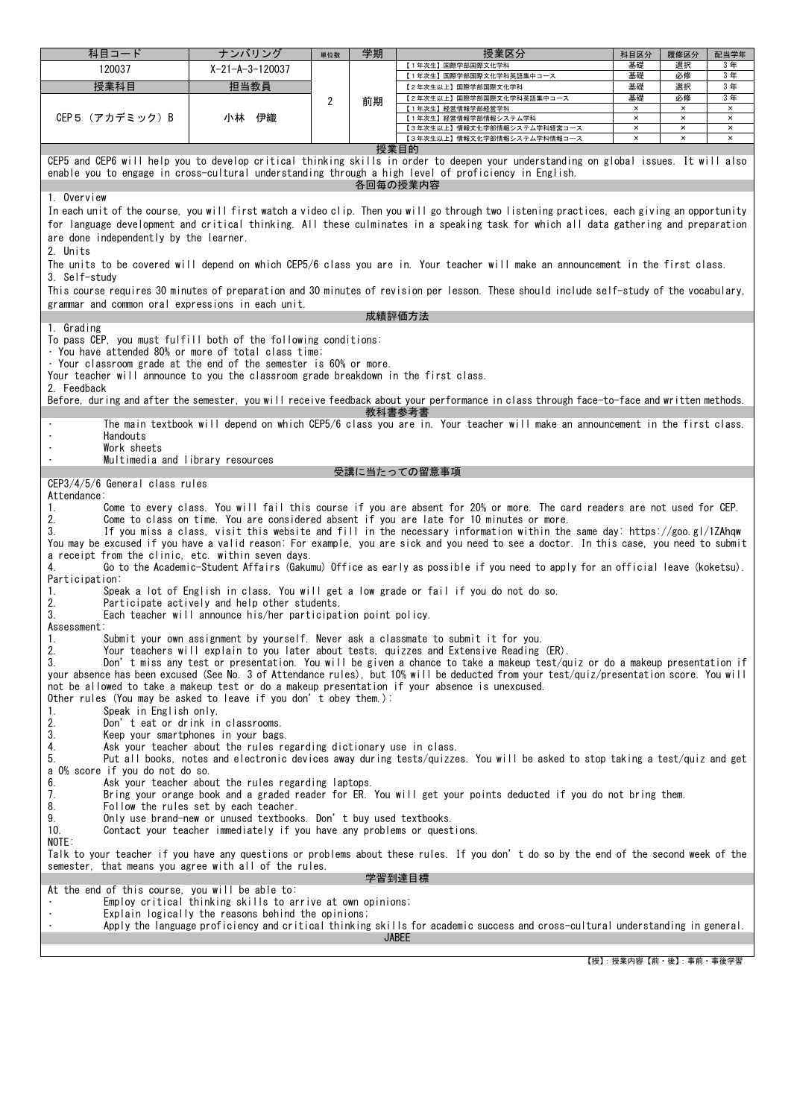| 科目コード                                                                                                                                                                                                                                                                                                                                                                                                                                                                                                                                                                                                                                                                                                                                                                                                                                                                                                                                                                                                                                                                                                                                                                                                                                                                                                                                                                                                                                                                                                                                                                                                                                                                                                                                                                                                                               | ナンバリング                    | 単位数 | 学期 | 授業区分                                                                                                                                                 | 科目区分                       | 履修区分                 | 配当学年                 |  |  |  |
|-------------------------------------------------------------------------------------------------------------------------------------------------------------------------------------------------------------------------------------------------------------------------------------------------------------------------------------------------------------------------------------------------------------------------------------------------------------------------------------------------------------------------------------------------------------------------------------------------------------------------------------------------------------------------------------------------------------------------------------------------------------------------------------------------------------------------------------------------------------------------------------------------------------------------------------------------------------------------------------------------------------------------------------------------------------------------------------------------------------------------------------------------------------------------------------------------------------------------------------------------------------------------------------------------------------------------------------------------------------------------------------------------------------------------------------------------------------------------------------------------------------------------------------------------------------------------------------------------------------------------------------------------------------------------------------------------------------------------------------------------------------------------------------------------------------------------------------|---------------------------|-----|----|------------------------------------------------------------------------------------------------------------------------------------------------------|----------------------------|----------------------|----------------------|--|--|--|
| 120037                                                                                                                                                                                                                                                                                                                                                                                                                                                                                                                                                                                                                                                                                                                                                                                                                                                                                                                                                                                                                                                                                                                                                                                                                                                                                                                                                                                                                                                                                                                                                                                                                                                                                                                                                                                                                              | $X - 21 - A - 3 - 120037$ |     |    | 【1年次生】国際学部国際文化学科                                                                                                                                     | 基礎                         | 選択                   | 3年                   |  |  |  |
| 授業科目                                                                                                                                                                                                                                                                                                                                                                                                                                                                                                                                                                                                                                                                                                                                                                                                                                                                                                                                                                                                                                                                                                                                                                                                                                                                                                                                                                                                                                                                                                                                                                                                                                                                                                                                                                                                                                | 担当教員                      |     |    | 【1年次生】国際学部国際文化学科英語集中コース<br>【2年次生以上】国際学部国際文化学科                                                                                                        | 基礎<br>基礎                   | 必修<br>選択             | 3年<br>3年             |  |  |  |
|                                                                                                                                                                                                                                                                                                                                                                                                                                                                                                                                                                                                                                                                                                                                                                                                                                                                                                                                                                                                                                                                                                                                                                                                                                                                                                                                                                                                                                                                                                                                                                                                                                                                                                                                                                                                                                     |                           | 2   | 前期 | 【2年次生以上】国際学部国際文化学科英語集中コース                                                                                                                            | 基礎                         | 必修                   | 3年                   |  |  |  |
| CEP5(アカデミック)B                                                                                                                                                                                                                                                                                                                                                                                                                                                                                                                                                                                                                                                                                                                                                                                                                                                                                                                                                                                                                                                                                                                                                                                                                                                                                                                                                                                                                                                                                                                                                                                                                                                                                                                                                                                                                       | 小林 伊織                     |     |    | 【1年次生】経営情報学部経営学科<br>【1年次生】経営情報学部情報システム学科                                                                                                             | $\times$<br>$\times$       | $\times$<br>$\times$ | $\times$<br>$\times$ |  |  |  |
|                                                                                                                                                                                                                                                                                                                                                                                                                                                                                                                                                                                                                                                                                                                                                                                                                                                                                                                                                                                                                                                                                                                                                                                                                                                                                                                                                                                                                                                                                                                                                                                                                                                                                                                                                                                                                                     |                           |     |    | 【3年次生以上】情報文化学部情報システム学科経営コース                                                                                                                          | $\times$<br>$\pmb{\times}$ | $\times$<br>$\times$ | $\times$<br>$\times$ |  |  |  |
|                                                                                                                                                                                                                                                                                                                                                                                                                                                                                                                                                                                                                                                                                                                                                                                                                                                                                                                                                                                                                                                                                                                                                                                                                                                                                                                                                                                                                                                                                                                                                                                                                                                                                                                                                                                                                                     |                           |     |    | 【3年次生以上】情報文化学部情報システム学科情報コース<br>授業目的                                                                                                                  |                            |                      |                      |  |  |  |
| CEP5 and CEP6 will help you to develop critical thinking skills in order to deepen your understanding on global issues. It will also<br>enable you to engage in cross-cultural understanding through a high level of proficiency in English.                                                                                                                                                                                                                                                                                                                                                                                                                                                                                                                                                                                                                                                                                                                                                                                                                                                                                                                                                                                                                                                                                                                                                                                                                                                                                                                                                                                                                                                                                                                                                                                        |                           |     |    |                                                                                                                                                      |                            |                      |                      |  |  |  |
| 1. Overview                                                                                                                                                                                                                                                                                                                                                                                                                                                                                                                                                                                                                                                                                                                                                                                                                                                                                                                                                                                                                                                                                                                                                                                                                                                                                                                                                                                                                                                                                                                                                                                                                                                                                                                                                                                                                         |                           |     |    | 各回毎の授業内容                                                                                                                                             |                            |                      |                      |  |  |  |
|                                                                                                                                                                                                                                                                                                                                                                                                                                                                                                                                                                                                                                                                                                                                                                                                                                                                                                                                                                                                                                                                                                                                                                                                                                                                                                                                                                                                                                                                                                                                                                                                                                                                                                                                                                                                                                     |                           |     |    |                                                                                                                                                      |                            |                      |                      |  |  |  |
| In each unit of the course, you will first watch a video clip. Then you will go through two listening practices, each giving an opportunity<br>for language development and critical thinking. All these culminates in a speaking task for which all data gathering and preparation<br>are done independently by the learner.<br>2. Units                                                                                                                                                                                                                                                                                                                                                                                                                                                                                                                                                                                                                                                                                                                                                                                                                                                                                                                                                                                                                                                                                                                                                                                                                                                                                                                                                                                                                                                                                           |                           |     |    |                                                                                                                                                      |                            |                      |                      |  |  |  |
| The units to be covered will depend on which CEP5/6 class you are in. Your teacher will make an announcement in the first class.<br>3. Self-studv                                                                                                                                                                                                                                                                                                                                                                                                                                                                                                                                                                                                                                                                                                                                                                                                                                                                                                                                                                                                                                                                                                                                                                                                                                                                                                                                                                                                                                                                                                                                                                                                                                                                                   |                           |     |    |                                                                                                                                                      |                            |                      |                      |  |  |  |
| grammar and common oral expressions in each unit.                                                                                                                                                                                                                                                                                                                                                                                                                                                                                                                                                                                                                                                                                                                                                                                                                                                                                                                                                                                                                                                                                                                                                                                                                                                                                                                                                                                                                                                                                                                                                                                                                                                                                                                                                                                   |                           |     |    | This course requires 30 minutes of preparation and 30 minutes of revision per lesson. These should include self-study of the vocabulary,<br>成績評価方法   |                            |                      |                      |  |  |  |
| 1. Grading                                                                                                                                                                                                                                                                                                                                                                                                                                                                                                                                                                                                                                                                                                                                                                                                                                                                                                                                                                                                                                                                                                                                                                                                                                                                                                                                                                                                                                                                                                                                                                                                                                                                                                                                                                                                                          |                           |     |    |                                                                                                                                                      |                            |                      |                      |  |  |  |
| To pass CEP, you must fulfill both of the following conditions:<br>· You have attended 80% or more of total class time;<br>. Your classroom grade at the end of the semester is 60% or more.<br>Your teacher will announce to you the classroom grade breakdown in the first class.<br>2. Feedback                                                                                                                                                                                                                                                                                                                                                                                                                                                                                                                                                                                                                                                                                                                                                                                                                                                                                                                                                                                                                                                                                                                                                                                                                                                                                                                                                                                                                                                                                                                                  |                           |     |    |                                                                                                                                                      |                            |                      |                      |  |  |  |
|                                                                                                                                                                                                                                                                                                                                                                                                                                                                                                                                                                                                                                                                                                                                                                                                                                                                                                                                                                                                                                                                                                                                                                                                                                                                                                                                                                                                                                                                                                                                                                                                                                                                                                                                                                                                                                     |                           |     |    | Before, during and after the semester, you will receive feedback about your performance in class through face-to-face and written methods.<br>教科書参考書 |                            |                      |                      |  |  |  |
|                                                                                                                                                                                                                                                                                                                                                                                                                                                                                                                                                                                                                                                                                                                                                                                                                                                                                                                                                                                                                                                                                                                                                                                                                                                                                                                                                                                                                                                                                                                                                                                                                                                                                                                                                                                                                                     |                           |     |    | The main textbook will depend on which CEP5/6 class you are in. Your teacher will make an announcement in the first class.                           |                            |                      |                      |  |  |  |
| Handouts<br>Work sheets                                                                                                                                                                                                                                                                                                                                                                                                                                                                                                                                                                                                                                                                                                                                                                                                                                                                                                                                                                                                                                                                                                                                                                                                                                                                                                                                                                                                                                                                                                                                                                                                                                                                                                                                                                                                             |                           |     |    |                                                                                                                                                      |                            |                      |                      |  |  |  |
| Multimedia and library resources                                                                                                                                                                                                                                                                                                                                                                                                                                                                                                                                                                                                                                                                                                                                                                                                                                                                                                                                                                                                                                                                                                                                                                                                                                                                                                                                                                                                                                                                                                                                                                                                                                                                                                                                                                                                    |                           |     |    | 受講に当たっての留意事項                                                                                                                                         |                            |                      |                      |  |  |  |
| CEP3/4/5/6 General class rules                                                                                                                                                                                                                                                                                                                                                                                                                                                                                                                                                                                                                                                                                                                                                                                                                                                                                                                                                                                                                                                                                                                                                                                                                                                                                                                                                                                                                                                                                                                                                                                                                                                                                                                                                                                                      |                           |     |    |                                                                                                                                                      |                            |                      |                      |  |  |  |
| Come to every class. You will fail this course if you are absent for 20% or more. The card readers are not used for CEP.<br>1.<br>2.<br>Come to class on time. You are considered absent if you are late for 10 minutes or more.<br>3.<br>If you miss a class, visit this website and fill in the necessary information within the same day: https://goo.gl/1ZAhqw<br>You may be excused if you have a valid reason: For example, you are sick and you need to see a doctor. In this case, you need to submit<br>a receipt from the clinic, etc. within seven days.<br>Go to the Academic-Student Affairs (Gakumu) Office as early as possible if you need to apply for an official leave (koketsu).<br>4.<br>Participation:<br>Speak a lot of English in class. You will get a low grade or fail if you do not do so.<br>1.<br>2.<br>Participate actively and help other students.<br>3.<br>Each teacher will announce his/her participation point policy.<br>Assessment:<br>Submit your own assignment by yourself. Never ask a classmate to submit it for you.<br>1.<br>2.<br>Your teachers will explain to you later about tests, quizzes and Extensive Reading (ER).<br>3.<br>Don't miss any test or presentation. You will be given a chance to take a makeup test/quiz or do a makeup presentation if<br>your absence has been excused (See No. 3 of Attendance rules), but 10% will be deducted from your test/quiz/presentation score. You will<br>not be allowed to take a makeup test or do a makeup presentation if your absence is unexcused.<br>Other rules (You may be asked to leave if you don't obey them.):<br>1.<br>Speak in English only.<br>2.<br>Don't eat or drink in classrooms.<br>3.<br>Keep your smartphones in your bags.<br>Ask your teacher about the rules regarding dictionary use in class.<br>4. |                           |     |    |                                                                                                                                                      |                            |                      |                      |  |  |  |
| 5.<br>Put all books, notes and electronic devices away during tests/quizzes. You will be asked to stop taking a test/quiz and get<br>a 0% score if you do not do so.<br>6.<br>Ask your teacher about the rules regarding laptops.<br>7.<br>Bring your orange book and a graded reader for ER. You will get your points deducted if you do not bring them.<br>8.<br>Follow the rules set by each teacher.<br>9.<br>Only use brand-new or unused textbooks. Don't buy used textbooks.<br>Contact your teacher immediately if you have any problems or questions.<br>10.                                                                                                                                                                                                                                                                                                                                                                                                                                                                                                                                                                                                                                                                                                                                                                                                                                                                                                                                                                                                                                                                                                                                                                                                                                                               |                           |     |    |                                                                                                                                                      |                            |                      |                      |  |  |  |
| NOTE:<br>Talk to your teacher if you have any questions or problems about these rules. If you don't do so by the end of the second week of the<br>semester, that means you agree with all of the rules.                                                                                                                                                                                                                                                                                                                                                                                                                                                                                                                                                                                                                                                                                                                                                                                                                                                                                                                                                                                                                                                                                                                                                                                                                                                                                                                                                                                                                                                                                                                                                                                                                             |                           |     |    |                                                                                                                                                      |                            |                      |                      |  |  |  |
| 学習到達目標<br>At the end of this course, you will be able to:                                                                                                                                                                                                                                                                                                                                                                                                                                                                                                                                                                                                                                                                                                                                                                                                                                                                                                                                                                                                                                                                                                                                                                                                                                                                                                                                                                                                                                                                                                                                                                                                                                                                                                                                                                           |                           |     |    |                                                                                                                                                      |                            |                      |                      |  |  |  |
| Employ critical thinking skills to arrive at own opinions;                                                                                                                                                                                                                                                                                                                                                                                                                                                                                                                                                                                                                                                                                                                                                                                                                                                                                                                                                                                                                                                                                                                                                                                                                                                                                                                                                                                                                                                                                                                                                                                                                                                                                                                                                                          |                           |     |    |                                                                                                                                                      |                            |                      |                      |  |  |  |
| Explain logically the reasons behind the opinions;<br>Apply the language proficiency and critical thinking skills for academic success and cross-cultural understanding in general.                                                                                                                                                                                                                                                                                                                                                                                                                                                                                                                                                                                                                                                                                                                                                                                                                                                                                                                                                                                                                                                                                                                                                                                                                                                                                                                                                                                                                                                                                                                                                                                                                                                 |                           |     |    |                                                                                                                                                      |                            |                      |                      |  |  |  |
|                                                                                                                                                                                                                                                                                                                                                                                                                                                                                                                                                                                                                                                                                                                                                                                                                                                                                                                                                                                                                                                                                                                                                                                                                                                                                                                                                                                                                                                                                                                                                                                                                                                                                                                                                                                                                                     | <b>JABEE</b>              |     |    |                                                                                                                                                      |                            |                      |                      |  |  |  |

【授】:授業内容【前・後】:事前・事後学習